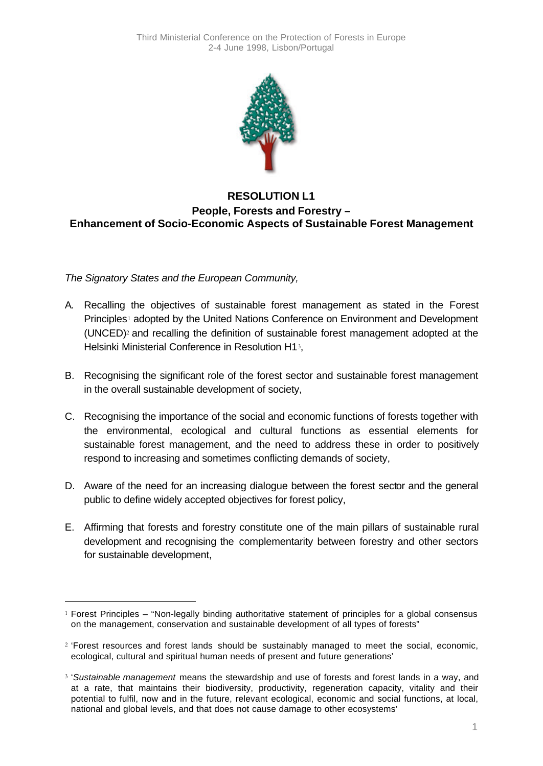

## **RESOLUTION L1 People, Forests and Forestry – Enhancement of Socio-Economic Aspects of Sustainable Forest Management**

*The Signatory States and the European Community,*

l

- A. Recalling the objectives of sustainable forest management as stated in the Forest Principles<sup>1</sup> adopted by the United Nations Conference on Environment and Development (UNCED)<sup>2</sup> and recalling the definition of sustainable forest management adopted at the Helsinki Ministerial Conference in Resolution H13,
- B. Recognising the significant role of the forest sector and sustainable forest management in the overall sustainable development of society,
- C. Recognising the importance of the social and economic functions of forests together with the environmental, ecological and cultural functions as essential elements for sustainable forest management, and the need to address these in order to positively respond to increasing and sometimes conflicting demands of society,
- D. Aware of the need for an increasing dialogue between the forest sector and the general public to define widely accepted objectives for forest policy,
- E. Affirming that forests and forestry constitute one of the main pillars of sustainable rural development and recognising the complementarity between forestry and other sectors for sustainable development,

 $1$  Forest Principles – "Non-legally binding authoritative statement of principles for a global consensus on the management, conservation and sustainable development of all types of forests"

<sup>2</sup> 'Forest resources and forest lands should be sustainably managed to meet the social, economic, ecological, cultural and spiritual human needs of present and future generations'

<sup>3</sup> '*Sustainable management* means the stewardship and use of forests and forest lands in a way, and at a rate, that maintains their biodiversity, productivity, regeneration capacity, vitality and their potential to fulfil, now and in the future, relevant ecological, economic and social functions, at local, national and global levels, and that does not cause damage to other ecosystems'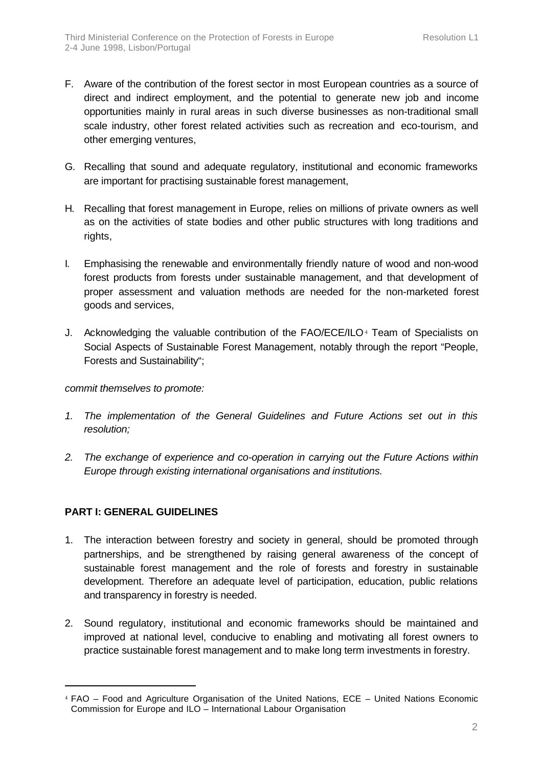- F. Aware of the contribution of the forest sector in most European countries as a source of direct and indirect employment, and the potential to generate new job and income opportunities mainly in rural areas in such diverse businesses as non-traditional small scale industry, other forest related activities such as recreation and eco-tourism, and other emerging ventures,
- G. Recalling that sound and adequate regulatory, institutional and economic frameworks are important for practising sustainable forest management,
- H. Recalling that forest management in Europe, relies on millions of private owners as well as on the activities of state bodies and other public structures with long traditions and rights,
- I. Emphasising the renewable and environmentally friendly nature of wood and non-wood forest products from forests under sustainable management, and that development of proper assessment and valuation methods are needed for the non-marketed forest goods and services,
- J. Acknowledging the valuable contribution of the FAO/ECE/ILO<sup>4</sup> Team of Specialists on Social Aspects of Sustainable Forest Management, notably through the report "People, Forests and Sustainability";

*commit themselves to promote:*

- *1. The implementation of the General Guidelines and Future Actions set out in this resolution;*
- *2. The exchange of experience and co-operation in carrying out the Future Actions within Europe through existing international organisations and institutions.*

## **PART I: GENERAL GUIDELINES**

l

- 1. The interaction between forestry and society in general, should be promoted through partnerships, and be strengthened by raising general awareness of the concept of sustainable forest management and the role of forests and forestry in sustainable development. Therefore an adequate level of participation, education, public relations and transparency in forestry is needed.
- 2. Sound regulatory, institutional and economic frameworks should be maintained and improved at national level, conducive to enabling and motivating all forest owners to practice sustainable forest management and to make long term investments in forestry.

<sup>4</sup> FAO – Food and Agriculture Organisation of the United Nations, ECE – United Nations Economic Commission for Europe and ILO – International Labour Organisation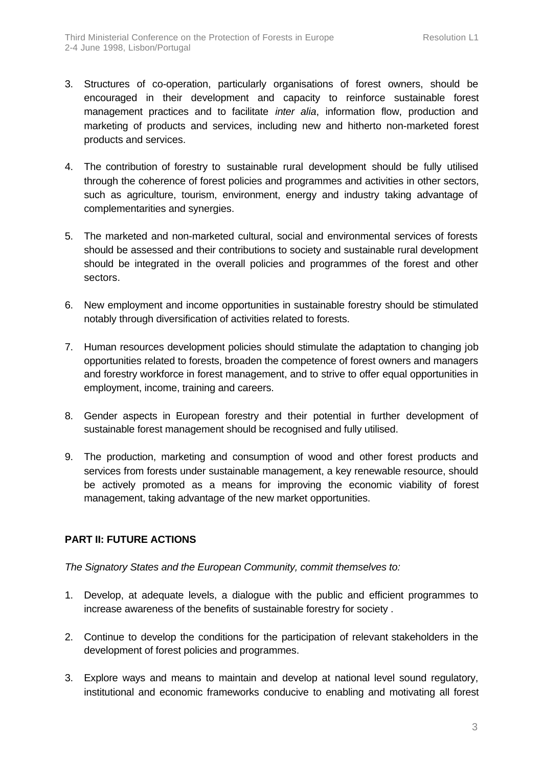- 3. Structures of co-operation, particularly organisations of forest owners, should be encouraged in their development and capacity to reinforce sustainable forest management practices and to facilitate *inter alia*, information flow, production and marketing of products and services, including new and hitherto non-marketed forest products and services.
- 4. The contribution of forestry to sustainable rural development should be fully utilised through the coherence of forest policies and programmes and activities in other sectors, such as agriculture, tourism, environment, energy and industry taking advantage of complementarities and synergies.
- 5. The marketed and non-marketed cultural, social and environmental services of forests should be assessed and their contributions to society and sustainable rural development should be integrated in the overall policies and programmes of the forest and other sectors.
- 6. New employment and income opportunities in sustainable forestry should be stimulated notably through diversification of activities related to forests.
- 7. Human resources development policies should stimulate the adaptation to changing job opportunities related to forests, broaden the competence of forest owners and managers and forestry workforce in forest management, and to strive to offer equal opportunities in employment, income, training and careers.
- 8. Gender aspects in European forestry and their potential in further development of sustainable forest management should be recognised and fully utilised.
- 9. The production, marketing and consumption of wood and other forest products and services from forests under sustainable management, a key renewable resource, should be actively promoted as a means for improving the economic viability of forest management, taking advantage of the new market opportunities.

## **PART II: FUTURE ACTIONS**

*The Signatory States and the European Community, commit themselves to:*

- 1. Develop, at adequate levels, a dialogue with the public and efficient programmes to increase awareness of the benefits of sustainable forestry for society .
- 2. Continue to develop the conditions for the participation of relevant stakeholders in the development of forest policies and programmes.
- 3. Explore ways and means to maintain and develop at national level sound regulatory, institutional and economic frameworks conducive to enabling and motivating all forest